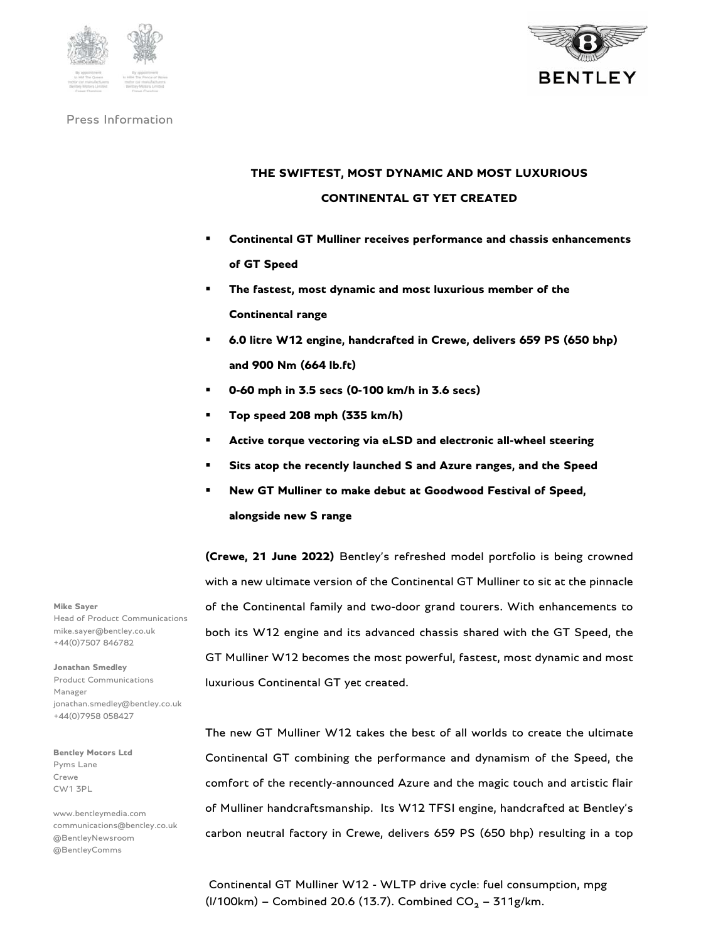



# **THE SWIFTEST, MOST DYNAMIC AND MOST LUXURIOUS CONTINENTAL GT YET CREATED**

- **Continental GT Mulliner receives performance and chassis enhancements of GT Speed**
- **The fastest, most dynamic and most luxurious member of the Continental range**
- **6.0 litre W12 engine, handcrafted in Crewe, delivers 659 PS (650 bhp) and 900 Nm (664 lb.ft)**
- **0-60 mph in 3.5 secs (0-100 km/h in 3.6 secs)**
- **Top speed 208 mph (335 km/h)**
- **Active torque vectoring via eLSD and electronic all-wheel steering**
- **Sits atop the recently launched S and Azure ranges, and the Speed**
- **New GT Mulliner to make debut at Goodwood Festival of Speed, alongside new S range**

**(Crewe, 21 June 2022)** Bentley's refreshed model portfolio is being crowned with a new ultimate version of the Continental GT Mulliner to sit at the pinnacle of the Continental family and two-door grand tourers. With enhancements to both its W12 engine and its advanced chassis shared with the GT Speed, the GT Mulliner W12 becomes the most powerful, fastest, most dynamic and most luxurious Continental GT yet created.

The new GT Mulliner W12 takes the best of all worlds to create the ultimate Continental GT combining the performance and dynamism of the Speed, the comfort of the recently-announced Azure and the magic touch and artistic flair of Mulliner handcraftsmanship. Its W12 TFSI engine, handcrafted at Bentley's carbon neutral factory in Crewe, delivers 659 PS (650 bhp) resulting in a top

 Continental GT Mulliner W12 - WLTP drive cycle: fuel consumption, mpg (I/100km) – Combined 20.6 (13.7). Combined  $CO_2 - 311$ g/km.

**Mike Sayer**  Head of Product Communications mike.sayer@bentley.co.uk +44(0)7507 846782

**Jonathan Smedley**  Product Communications Manager jonathan.smedley@bentley.co.uk +44(0)7958 058427

**Bentley Motors Ltd**  Pyms Lane Crewe CW1 3PL

www.bentleymedia.com communications@bentley.co.uk @BentleyNewsroom @BentleyComms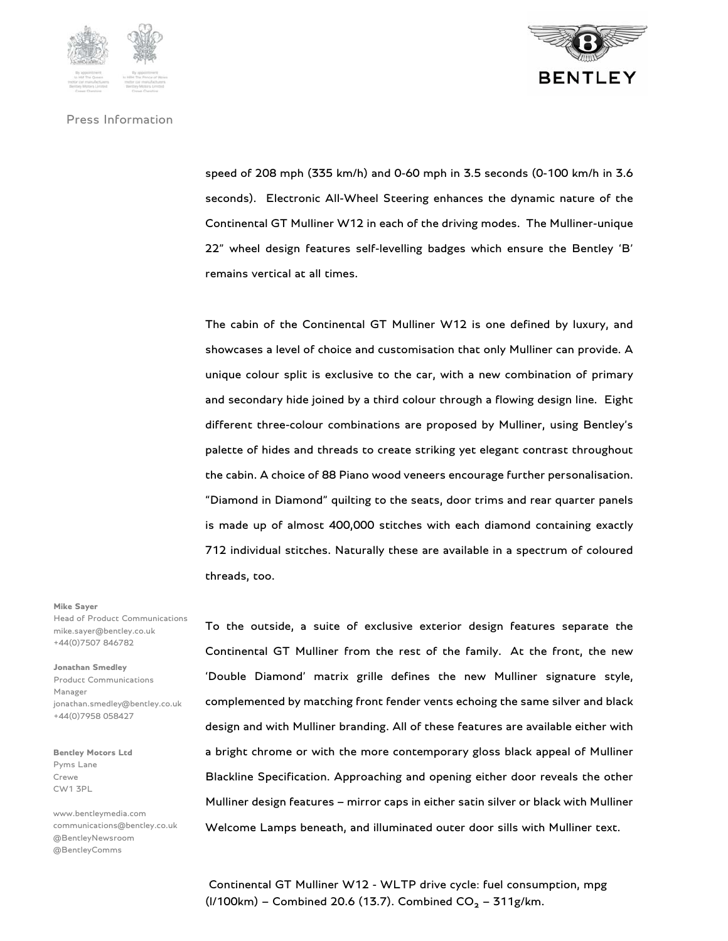

speed of 208 mph (335 km/h) and 0-60 mph in 3.5 seconds (0-100 km/h in 3.6 seconds). Electronic All-Wheel Steering enhances the dynamic nature of the Continental GT Mulliner W12 in each of the driving modes. The Mulliner-unique 22" wheel design features self-levelling badges which ensure the Bentley 'B' remains vertical at all times.

The cabin of the Continental GT Mulliner W12 is one defined by luxury, and showcases a level of choice and customisation that only Mulliner can provide. A unique colour split is exclusive to the car, with a new combination of primary and secondary hide joined by a third colour through a flowing design line. Eight different three-colour combinations are proposed by Mulliner, using Bentley's palette of hides and threads to create striking yet elegant contrast throughout the cabin. A choice of 88 Piano wood veneers encourage further personalisation. "Diamond in Diamond" quilting to the seats, door trims and rear quarter panels is made up of almost 400,000 stitches with each diamond containing exactly 712 individual stitches. Naturally these are available in a spectrum of coloured threads, too.

To the outside, a suite of exclusive exterior design features separate the Continental GT Mulliner from the rest of the family. At the front, the new 'Double Diamond' matrix grille defines the new Mulliner signature style, complemented by matching front fender vents echoing the same silver and black design and with Mulliner branding. All of these features are available either with a bright chrome or with the more contemporary gloss black appeal of Mulliner Blackline Specification. Approaching and opening either door reveals the other Mulliner design features – mirror caps in either satin silver or black with Mulliner Welcome Lamps beneath, and illuminated outer door sills with Mulliner text.

 Continental GT Mulliner W12 - WLTP drive cycle: fuel consumption, mpg (I/100km) – Combined 20.6 (13.7). Combined  $CO_2 - 311$ g/km.

#### **Mike Sayer**

Head of Product Communications mike.sayer@bentley.co.uk +44(0)7507 846782

**Jonathan Smedley**  Product Communications Manager jonathan.smedley@bentley.co.uk +44(0)7958 058427

**Bentley Motors Ltd**  Pyms Lane Crewe CW1 3PL

www.bentleymedia.com communications@bentley.co.uk @BentleyNewsroom @BentleyComms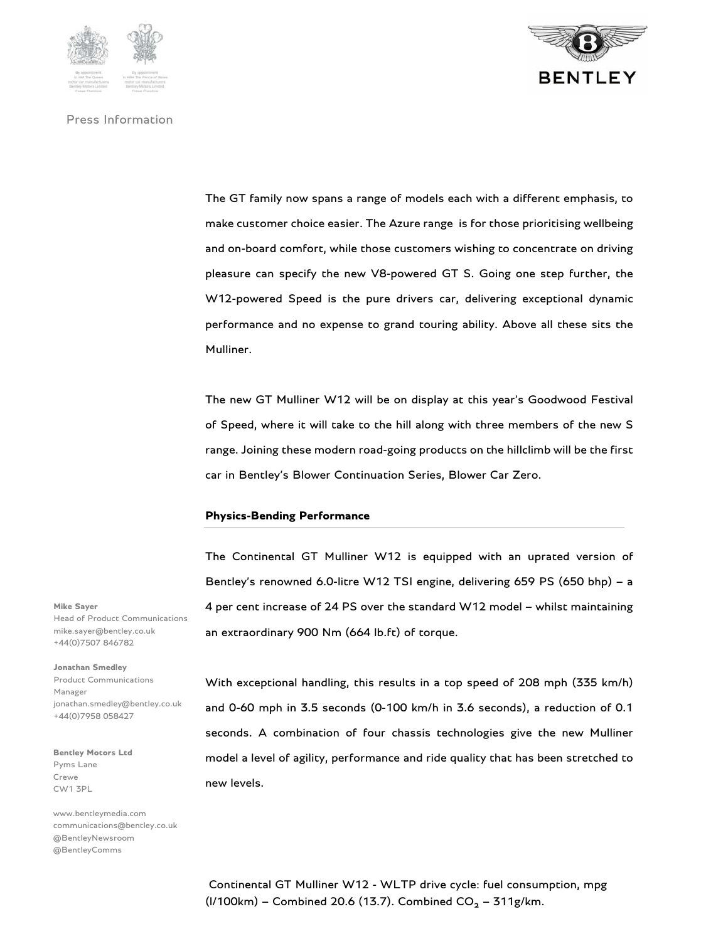



The GT family now spans a range of models each with a different emphasis, to make customer choice easier. The Azure range is for those prioritising wellbeing and on-board comfort, while those customers wishing to concentrate on driving pleasure can specify the new V8-powered GT S. Going one step further, the W12-powered Speed is the pure drivers car, delivering exceptional dynamic performance and no expense to grand touring ability. Above all these sits the Mulliner.

The new GT Mulliner W12 will be on display at this year's Goodwood Festival of Speed, where it will take to the hill along with three members of the new S range. Joining these modern road-going products on the hillclimb will be the first car in Bentley's Blower Continuation Series, Blower Car Zero.

#### **Physics-Bending Performance**

The Continental GT Mulliner W12 is equipped with an uprated version of Bentley's renowned 6.0-litre W12 TSI engine, delivering 659 PS (650 bhp) – a 4 per cent increase of 24 PS over the standard W12 model – whilst maintaining an extraordinary 900 Nm (664 lb.ft) of torque.

With exceptional handling, this results in a top speed of 208 mph (335 km/h) and 0-60 mph in 3.5 seconds (0-100 km/h in 3.6 seconds), a reduction of 0.1 seconds. A combination of four chassis technologies give the new Mulliner model a level of agility, performance and ride quality that has been stretched to new levels.

**Mike Sayer**  Head of Product Communications mike.sayer@bentley.co.uk +44(0)7507 846782

**Jonathan Smedley**  Product Communications Manager jonathan.smedley@bentley.co.uk +44(0)7958 058427

**Bentley Motors Ltd**  Pyms Lane Crewe CW1 3PL

www.bentleymedia.com communications@bentley.co.uk @BentleyNewsroom @BentleyComms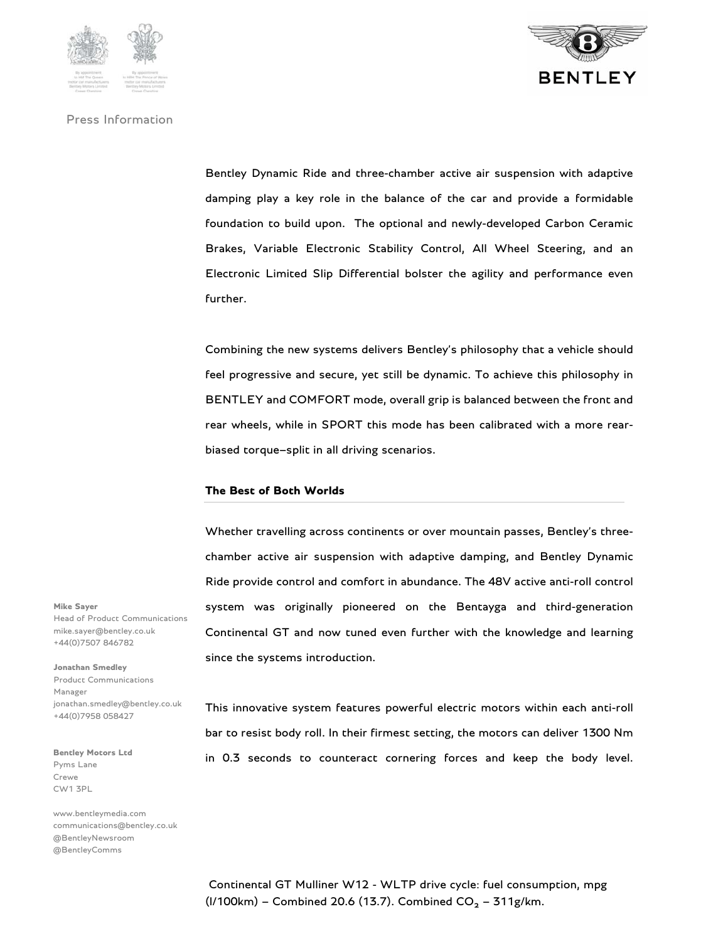

Bentley Dynamic Ride and three-chamber active air suspension with adaptive damping play a key role in the balance of the car and provide a formidable foundation to build upon. The optional and newly-developed Carbon Ceramic Brakes, Variable Electronic Stability Control, All Wheel Steering, and an Electronic Limited Slip Differential bolster the agility and performance even further.

Combining the new systems delivers Bentley's philosophy that a vehicle should feel progressive and secure, yet still be dynamic. To achieve this philosophy in BENTLEY and COMFORT mode, overall grip is balanced between the front and rear wheels, while in SPORT this mode has been calibrated with a more rearbiased torque–split in all driving scenarios.

## **The Best of Both Worlds**

Whether travelling across continents or over mountain passes, Bentley's threechamber active air suspension with adaptive damping, and Bentley Dynamic Ride provide control and comfort in abundance. The 48V active anti-roll control system was originally pioneered on the Bentayga and third-generation Continental GT and now tuned even further with the knowledge and learning since the systems introduction.

This innovative system features powerful electric motors within each anti-roll bar to resist body roll. In their firmest setting, the motors can deliver 1300 Nm in 0.3 seconds to counteract cornering forces and keep the body level.

**Mike Sayer**  Head of Product Communications mike.sayer@bentley.co.uk +44(0)7507 846782

**Jonathan Smedley**  Product Communications Manager jonathan.smedley@bentley.co.uk +44(0)7958 058427

**Bentley Motors Ltd**  Pyms Lane Crewe CW1 3PL

www.bentleymedia.com communications@bentley.co.uk @BentleyNewsroom @BentleyComms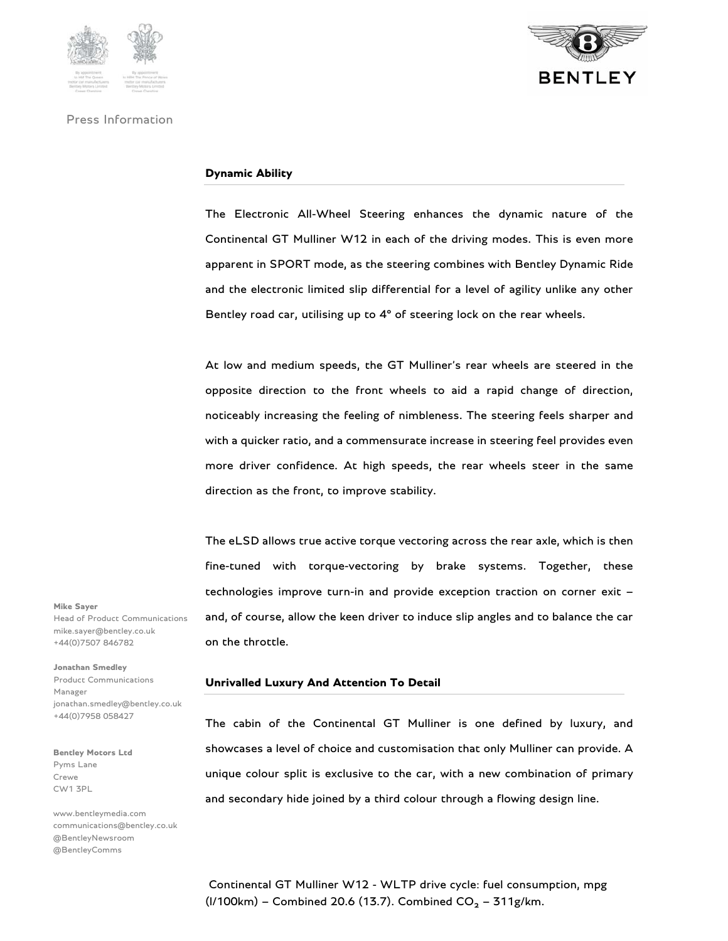



## **Dynamic Ability**

The Electronic All-Wheel Steering enhances the dynamic nature of the Continental GT Mulliner W12 in each of the driving modes. This is even more apparent in SPORT mode, as the steering combines with Bentley Dynamic Ride and the electronic limited slip differential for a level of agility unlike any other Bentley road car, utilising up to 4° of steering lock on the rear wheels.

At low and medium speeds, the GT Mulliner's rear wheels are steered in the opposite direction to the front wheels to aid a rapid change of direction, noticeably increasing the feeling of nimbleness. The steering feels sharper and with a quicker ratio, and a commensurate increase in steering feel provides even more driver confidence. At high speeds, the rear wheels steer in the same direction as the front, to improve stability.

The eLSD allows true active torque vectoring across the rear axle, which is then fine-tuned with torque-vectoring by brake systems. Together, these technologies improve turn-in and provide exception traction on corner exit – and, of course, allow the keen driver to induce slip angles and to balance the car on the throttle.

#### **Unrivalled Luxury And Attention To Detail**

The cabin of the Continental GT Mulliner is one defined by luxury, and showcases a level of choice and customisation that only Mulliner can provide. A unique colour split is exclusive to the car, with a new combination of primary and secondary hide joined by a third colour through a flowing design line.

**Mike Sayer**  Head of Product Communications mike.sayer@bentley.co.uk +44(0)7507 846782

**Jonathan Smedley**  Product Communications Manager jonathan.smedley@bentley.co.uk +44(0)7958 058427

**Bentley Motors Ltd**  Pyms Lane Crewe CW1 3PL

www.bentleymedia.com communications@bentley.co.uk @BentleyNewsroom @BentleyComms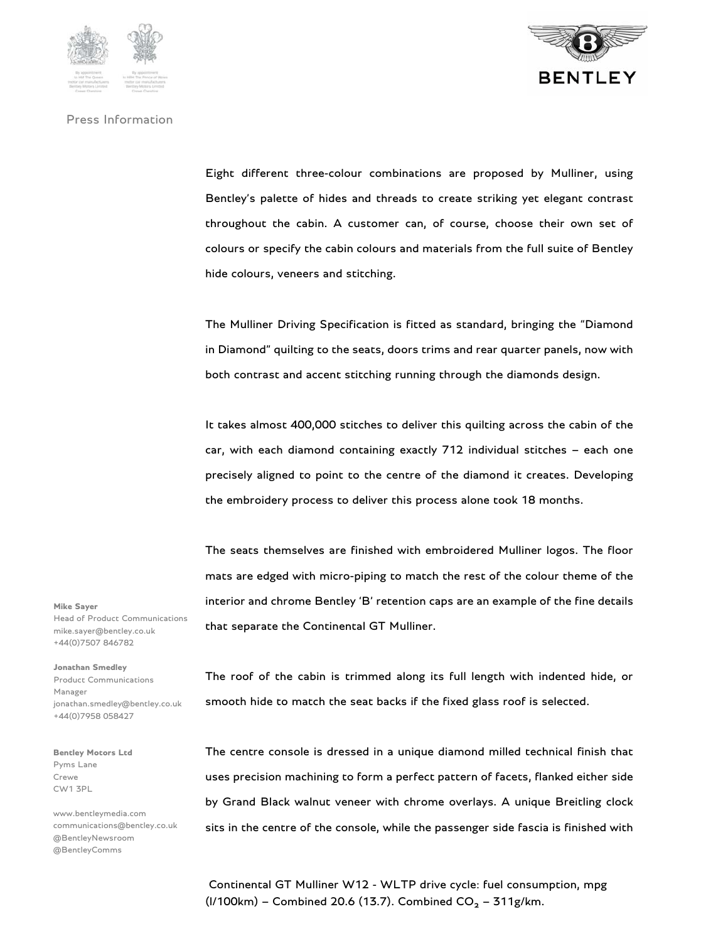



Eight different three-colour combinations are proposed by Mulliner, using Bentley's palette of hides and threads to create striking yet elegant contrast throughout the cabin. A customer can, of course, choose their own set of colours or specify the cabin colours and materials from the full suite of Bentley hide colours, veneers and stitching.

The Mulliner Driving Specification is fitted as standard, bringing the "Diamond in Diamond" quilting to the seats, doors trims and rear quarter panels, now with both contrast and accent stitching running through the diamonds design.

It takes almost 400,000 stitches to deliver this quilting across the cabin of the car, with each diamond containing exactly 712 individual stitches – each one precisely aligned to point to the centre of the diamond it creates. Developing the embroidery process to deliver this process alone took 18 months.

The seats themselves are finished with embroidered Mulliner logos. The floor mats are edged with micro-piping to match the rest of the colour theme of the interior and chrome Bentley 'B' retention caps are an example of the fine details that separate the Continental GT Mulliner.

**Mike Sayer**  Head of Product Communications mike.sayer@bentley.co.uk +44(0)7507 846782

**Jonathan Smedley**  Product Communications Manager jonathan.smedley@bentley.co.uk +44(0)7958 058427

**Bentley Motors Ltd**  Pyms Lane Crewe CW1 3PL

www.bentleymedia.com communications@bentley.co.uk @BentleyNewsroom @BentleyComms

The roof of the cabin is trimmed along its full length with indented hide, or smooth hide to match the seat backs if the fixed glass roof is selected.

The centre console is dressed in a unique diamond milled technical finish that uses precision machining to form a perfect pattern of facets, flanked either side by Grand Black walnut veneer with chrome overlays. A unique Breitling clock sits in the centre of the console, while the passenger side fascia is finished with